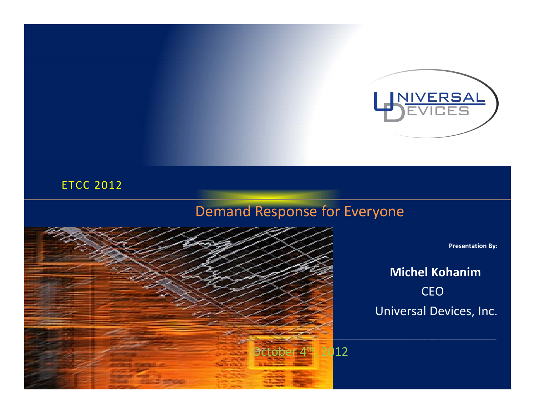

#### ETCC 2012

### Demand Response for Everyone



**Presentation By:**

### **Michel Kohanim** CEO Universal Devices, Inc.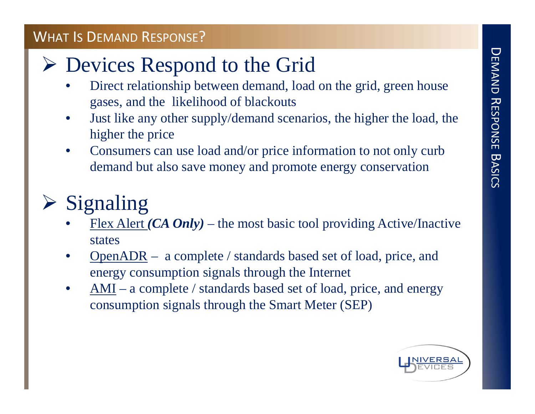### WHAT IS DEMAND RESPONSE?

### Devices Respond to the Grid

- • Direct relationship between demand, load on the grid, green house gases, and the likelihood of blackouts
- • Just like any other supply/demand scenarios, the higher the load, the higher the price
- • Consumers can use load and/or price information to not only curb demand but also save money and promote energy conservation

#### $\blacktriangleright$ Signaling

- •Flex Alert *(CA Only)* – the most basic tool providing Active/Inactive states
- • OpenADR – a complete / standards based set of load, price, and energy consumption signals through the Internet
- • AMI – a complete / standards based set of load, price, and energy consumption signals through the Smart Meter (SEP)

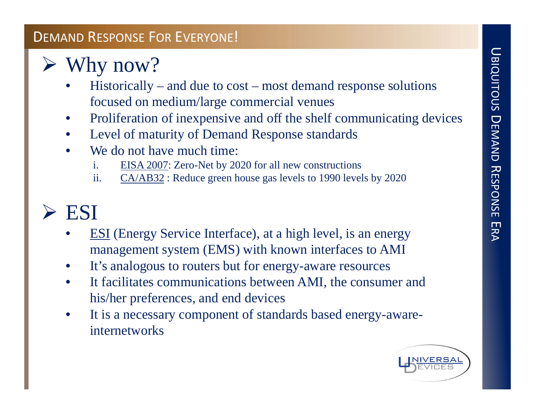# UBIQUITOUS DEMAND RESPONSE ERA

#### DEMAND RESPONSE FOR EVERYONE!

#### $\blacktriangleright$ Why now?

- • Historically – and due to cost – most demand response solutions focused on medium/large commercial venues
- •Proliferation of inexpensive and off the shelf communicating devices
- •Level of maturity of Demand Response standards
- • We do not have much time:
	- i. EISA 2007: Zero-Net by 2020 for all new constructions
	- ii. CA/AB32 : Reduce green house gas levels to 1990 levels by 2020

### > ESI

- • ESI (Energy Service Interface), at a high level, is an energy management system (EMS) with known interfaces to AMI
- •It's analogous to routers but for energy-aware resources
- $\bullet$  It facilitates communications between AMI, the consumer and his/her preferences, and end devices
- • It is a necessary component of standards based energy-awareinternetworks

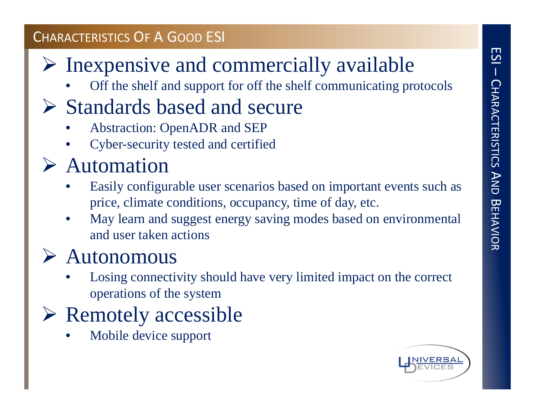### CHARACTERISTICS OF A GOOD ESI

### $\triangleright$  Inexpensive and commercially available

•Off the shelf and support for off the shelf communicating protocols

### $\triangleright$  Standards based and secure

- •Abstraction: OpenADR and SEP
- •Cyber-security tested and certified

### Automation

- • Easily configurable user scenarios based on important events such as price, climate conditions, occupancy, time of day, etc.
- • May learn and suggest energy saving modes based on environmental and user taken actions

#### $\blacktriangleright$ Autonomous

• Losing connectivity should have very limited impact on the correct operations of the system

### Remotely accessible

•Mobile device support

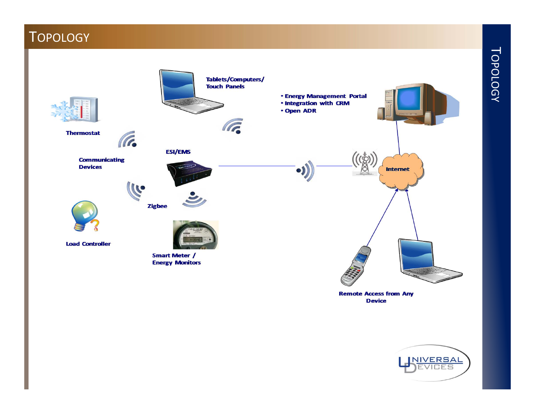### **TOPOLOGY**